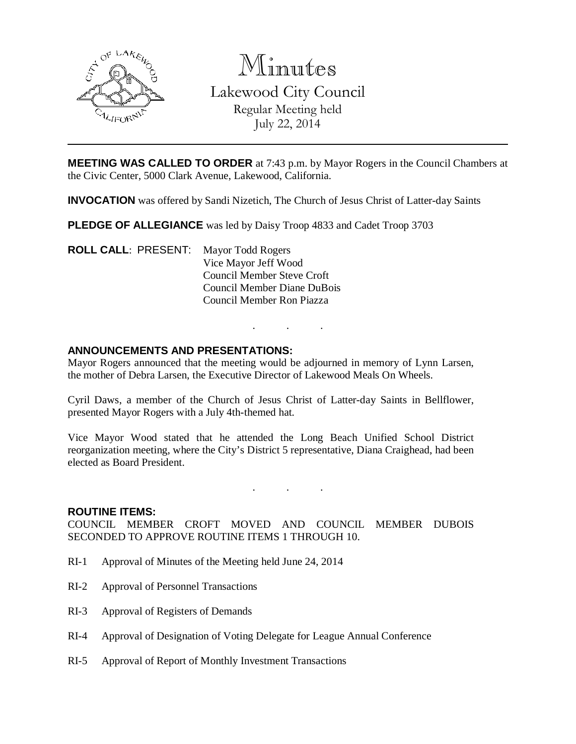

Minutes Lakewood City Council Regular Meeting held July 22, 2014

**MEETING WAS CALLED TO ORDER** at 7:43 p.m. by Mayor Rogers in the Council Chambers at the Civic Center, 5000 Clark Avenue, Lakewood, California.

**INVOCATION** was offered by Sandi Nizetich, The Church of Jesus Christ of Latter-day Saints

**PLEDGE OF ALLEGIANCE** was led by Daisy Troop 4833 and Cadet Troop 3703

**ROLL CALL**: PRESENT: Mayor Todd Rogers Vice Mayor Jeff Wood Council Member Steve Croft Council Member Diane DuBois Council Member Ron Piazza

### **ANNOUNCEMENTS AND PRESENTATIONS:**

Mayor Rogers announced that the meeting would be adjourned in memory of Lynn Larsen, the mother of Debra Larsen, the Executive Director of Lakewood Meals On Wheels.

. . .

Cyril Daws, a member of the Church of Jesus Christ of Latter-day Saints in Bellflower, presented Mayor Rogers with a July 4th-themed hat.

Vice Mayor Wood stated that he attended the Long Beach Unified School District reorganization meeting, where the City's District 5 representative, Diana Craighead, had been elected as Board President.

. . .

#### **ROUTINE ITEMS:**

COUNCIL MEMBER CROFT MOVED AND COUNCIL MEMBER DUBOIS SECONDED TO APPROVE ROUTINE ITEMS 1 THROUGH 10.

- RI-1 Approval of Minutes of the Meeting held June 24, 2014
- RI-2 Approval of Personnel Transactions
- RI-3 Approval of Registers of Demands
- RI-4 Approval of Designation of Voting Delegate for League Annual Conference
- RI-5 Approval of Report of Monthly Investment Transactions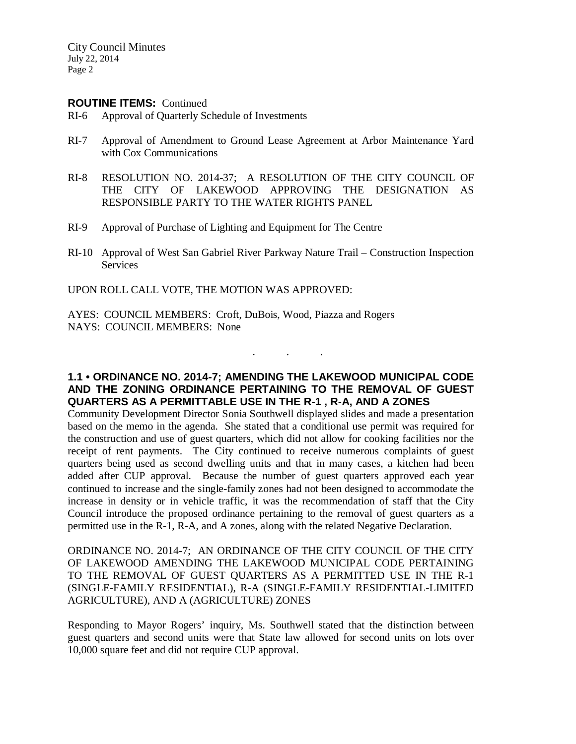City Council Minutes July 22, 2014 Page 2

#### **ROUTINE ITEMS:** Continued

- RI-6 Approval of Quarterly Schedule of Investments
- RI-7 Approval of Amendment to Ground Lease Agreement at Arbor Maintenance Yard with Cox Communications
- RI-8 RESOLUTION NO. 2014-37; A RESOLUTION OF THE CITY COUNCIL OF THE CITY OF LAKEWOOD APPROVING THE DESIGNATION AS RESPONSIBLE PARTY TO THE WATER RIGHTS PANEL
- RI-9 Approval of Purchase of Lighting and Equipment for The Centre
- RI-10 Approval of West San Gabriel River Parkway Nature Trail Construction Inspection Services

UPON ROLL CALL VOTE, THE MOTION WAS APPROVED:

AYES: COUNCIL MEMBERS: Croft, DuBois, Wood, Piazza and Rogers NAYS: COUNCIL MEMBERS: None

# **1.1 • ORDINANCE NO. 2014-7; AMENDING THE LAKEWOOD MUNICIPAL CODE AND THE ZONING ORDINANCE PERTAINING TO THE REMOVAL OF GUEST QUARTERS AS A PERMITTABLE USE IN THE R-1 , R-A, AND A ZONES**

. . .

Community Development Director Sonia Southwell displayed slides and made a presentation based on the memo in the agenda. She stated that a conditional use permit was required for the construction and use of guest quarters, which did not allow for cooking facilities nor the receipt of rent payments. The City continued to receive numerous complaints of guest quarters being used as second dwelling units and that in many cases, a kitchen had been added after CUP approval. Because the number of guest quarters approved each year continued to increase and the single-family zones had not been designed to accommodate the increase in density or in vehicle traffic, it was the recommendation of staff that the City Council introduce the proposed ordinance pertaining to the removal of guest quarters as a permitted use in the R-1, R-A, and A zones, along with the related Negative Declaration.

ORDINANCE NO. 2014-7; AN ORDINANCE OF THE CITY COUNCIL OF THE CITY OF LAKEWOOD AMENDING THE LAKEWOOD MUNICIPAL CODE PERTAINING TO THE REMOVAL OF GUEST QUARTERS AS A PERMITTED USE IN THE R-1 (SINGLE-FAMILY RESIDENTIAL), R-A (SINGLE-FAMILY RESIDENTIAL-LIMITED AGRICULTURE), AND A (AGRICULTURE) ZONES

Responding to Mayor Rogers' inquiry, Ms. Southwell stated that the distinction between guest quarters and second units were that State law allowed for second units on lots over 10,000 square feet and did not require CUP approval.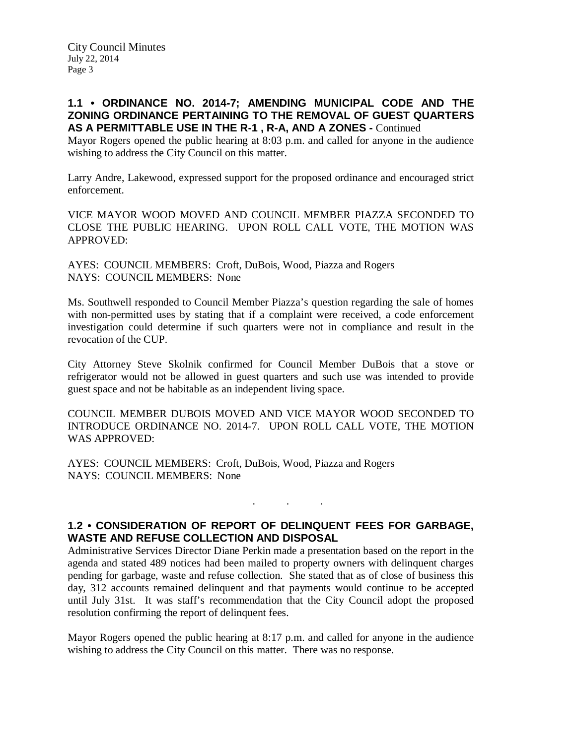# **1.1 • ORDINANCE NO. 2014-7; AMENDING MUNICIPAL CODE AND THE ZONING ORDINANCE PERTAINING TO THE REMOVAL OF GUEST QUARTERS AS A PERMITTABLE USE IN THE R-1 , R-A, AND A ZONES -** Continued

Mayor Rogers opened the public hearing at 8:03 p.m. and called for anyone in the audience wishing to address the City Council on this matter.

Larry Andre, Lakewood, expressed support for the proposed ordinance and encouraged strict enforcement.

VICE MAYOR WOOD MOVED AND COUNCIL MEMBER PIAZZA SECONDED TO CLOSE THE PUBLIC HEARING. UPON ROLL CALL VOTE, THE MOTION WAS APPROVED:

AYES: COUNCIL MEMBERS: Croft, DuBois, Wood, Piazza and Rogers NAYS: COUNCIL MEMBERS: None

Ms. Southwell responded to Council Member Piazza's question regarding the sale of homes with non-permitted uses by stating that if a complaint were received, a code enforcement investigation could determine if such quarters were not in compliance and result in the revocation of the CUP.

City Attorney Steve Skolnik confirmed for Council Member DuBois that a stove or refrigerator would not be allowed in guest quarters and such use was intended to provide guest space and not be habitable as an independent living space.

COUNCIL MEMBER DUBOIS MOVED AND VICE MAYOR WOOD SECONDED TO INTRODUCE ORDINANCE NO. 2014-7. UPON ROLL CALL VOTE, THE MOTION WAS APPROVED:

AYES: COUNCIL MEMBERS: Croft, DuBois, Wood, Piazza and Rogers NAYS: COUNCIL MEMBERS: None

# **1.2 • CONSIDERATION OF REPORT OF DELINQUENT FEES FOR GARBAGE, WASTE AND REFUSE COLLECTION AND DISPOSAL**

. . .

Administrative Services Director Diane Perkin made a presentation based on the report in the agenda and stated 489 notices had been mailed to property owners with delinquent charges pending for garbage, waste and refuse collection. She stated that as of close of business this day, 312 accounts remained delinquent and that payments would continue to be accepted until July 31st. It was staff's recommendation that the City Council adopt the proposed resolution confirming the report of delinquent fees.

Mayor Rogers opened the public hearing at 8:17 p.m. and called for anyone in the audience wishing to address the City Council on this matter. There was no response.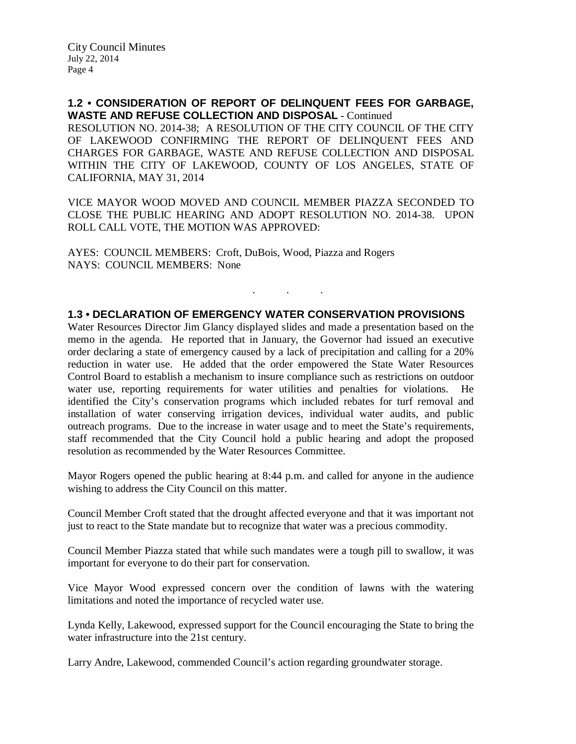**1.2 • CONSIDERATION OF REPORT OF DELINQUENT FEES FOR GARBAGE, WASTE AND REFUSE COLLECTION AND DISPOSAL** - Continued

RESOLUTION NO. 2014-38; A RESOLUTION OF THE CITY COUNCIL OF THE CITY OF LAKEWOOD CONFIRMING THE REPORT OF DELINQUENT FEES AND CHARGES FOR GARBAGE, WASTE AND REFUSE COLLECTION AND DISPOSAL WITHIN THE CITY OF LAKEWOOD, COUNTY OF LOS ANGELES, STATE OF CALIFORNIA, MAY 31, 2014

VICE MAYOR WOOD MOVED AND COUNCIL MEMBER PIAZZA SECONDED TO CLOSE THE PUBLIC HEARING AND ADOPT RESOLUTION NO. 2014-38. UPON ROLL CALL VOTE, THE MOTION WAS APPROVED:

AYES: COUNCIL MEMBERS: Croft, DuBois, Wood, Piazza and Rogers NAYS: COUNCIL MEMBERS: None

## **1.3 • DECLARATION OF EMERGENCY WATER CONSERVATION PROVISIONS**

. . .

Water Resources Director Jim Glancy displayed slides and made a presentation based on the memo in the agenda. He reported that in January, the Governor had issued an executive order declaring a state of emergency caused by a lack of precipitation and calling for a 20% reduction in water use. He added that the order empowered the State Water Resources Control Board to establish a mechanism to insure compliance such as restrictions on outdoor water use, reporting requirements for water utilities and penalties for violations. identified the City's conservation programs which included rebates for turf removal and installation of water conserving irrigation devices, individual water audits, and public outreach programs. Due to the increase in water usage and to meet the State's requirements, staff recommended that the City Council hold a public hearing and adopt the proposed resolution as recommended by the Water Resources Committee.

Mayor Rogers opened the public hearing at 8:44 p.m. and called for anyone in the audience wishing to address the City Council on this matter.

Council Member Croft stated that the drought affected everyone and that it was important not just to react to the State mandate but to recognize that water was a precious commodity.

Council Member Piazza stated that while such mandates were a tough pill to swallow, it was important for everyone to do their part for conservation.

Vice Mayor Wood expressed concern over the condition of lawns with the watering limitations and noted the importance of recycled water use.

Lynda Kelly, Lakewood, expressed support for the Council encouraging the State to bring the water infrastructure into the 21st century.

Larry Andre, Lakewood, commended Council's action regarding groundwater storage.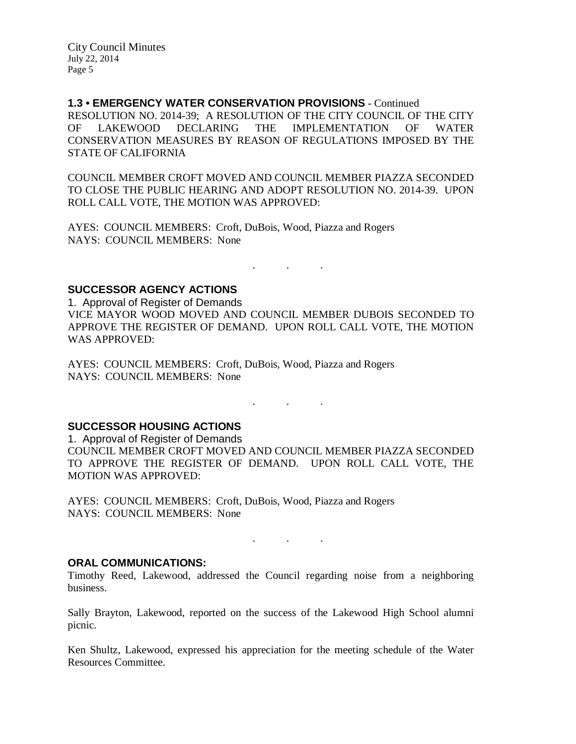City Council Minutes July 22, 2014 Page 5

### **1.3 • EMERGENCY WATER CONSERVATION PROVISIONS** - Continued

RESOLUTION NO. 2014-39; A RESOLUTION OF THE CITY COUNCIL OF THE CITY OF LAKEWOOD DECLARING THE IMPLEMENTATION OF WATER CONSERVATION MEASURES BY REASON OF REGULATIONS IMPOSED BY THE STATE OF CALIFORNIA

COUNCIL MEMBER CROFT MOVED AND COUNCIL MEMBER PIAZZA SECONDED TO CLOSE THE PUBLIC HEARING AND ADOPT RESOLUTION NO. 2014-39. UPON ROLL CALL VOTE, THE MOTION WAS APPROVED:

AYES: COUNCIL MEMBERS: Croft, DuBois, Wood, Piazza and Rogers NAYS: COUNCIL MEMBERS: None

**SUCCESSOR AGENCY ACTIONS**

1. Approval of Register of Demands VICE MAYOR WOOD MOVED AND COUNCIL MEMBER DUBOIS SECONDED TO APPROVE THE REGISTER OF DEMAND. UPON ROLL CALL VOTE, THE MOTION WAS APPROVED:

. . .

AYES: COUNCIL MEMBERS: Croft, DuBois, Wood, Piazza and Rogers NAYS: COUNCIL MEMBERS: None

**SUCCESSOR HOUSING ACTIONS**

1. Approval of Register of Demands

COUNCIL MEMBER CROFT MOVED AND COUNCIL MEMBER PIAZZA SECONDED TO APPROVE THE REGISTER OF DEMAND. UPON ROLL CALL VOTE, THE MOTION WAS APPROVED:

 $\mathbf{r}$  . The set of the set of the  $\mathbf{r}$ 

AYES: COUNCIL MEMBERS: Croft, DuBois, Wood, Piazza and Rogers NAYS: COUNCIL MEMBERS: None

**ORAL COMMUNICATIONS:**

Timothy Reed, Lakewood, addressed the Council regarding noise from a neighboring business.

. . .

Sally Brayton, Lakewood, reported on the success of the Lakewood High School alumni picnic.

Ken Shultz, Lakewood, expressed his appreciation for the meeting schedule of the Water Resources Committee.